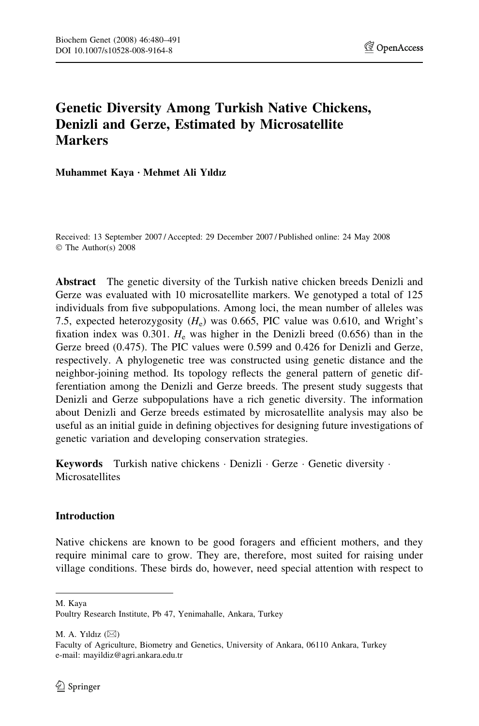# Genetic Diversity Among Turkish Native Chickens, Denizli and Gerze, Estimated by Microsatellite Markers

Muhammet Kaya · Mehmet Ali Yıldız

Received: 13 September 2007 / Accepted: 29 December 2007 / Published online: 24 May 2008 The Author(s) 2008

Abstract The genetic diversity of the Turkish native chicken breeds Denizli and Gerze was evaluated with 10 microsatellite markers. We genotyped a total of 125 individuals from five subpopulations. Among loci, the mean number of alleles was 7.5, expected heterozygosity  $(H_e)$  was 0.665, PIC value was 0.610, and Wright's fixation index was 0.301.  $H_e$  was higher in the Denizli breed (0.656) than in the Gerze breed (0.475). The PIC values were 0.599 and 0.426 for Denizli and Gerze, respectively. A phylogenetic tree was constructed using genetic distance and the neighbor-joining method. Its topology reflects the general pattern of genetic differentiation among the Denizli and Gerze breeds. The present study suggests that Denizli and Gerze subpopulations have a rich genetic diversity. The information about Denizli and Gerze breeds estimated by microsatellite analysis may also be useful as an initial guide in defining objectives for designing future investigations of genetic variation and developing conservation strategies.

Keywords Turkish native chickens · Denizli · Gerze · Genetic diversity · Microsatellites

# **Introduction**

Native chickens are known to be good foragers and efficient mothers, and they require minimal care to grow. They are, therefore, most suited for raising under village conditions. These birds do, however, need special attention with respect to

M. Kaya

M. A. Yıldız  $(\boxtimes)$ 

Poultry Research Institute, Pb 47, Yenimahalle, Ankara, Turkey

Faculty of Agriculture, Biometry and Genetics, University of Ankara, 06110 Ankara, Turkey e-mail: mayildiz@agri.ankara.edu.tr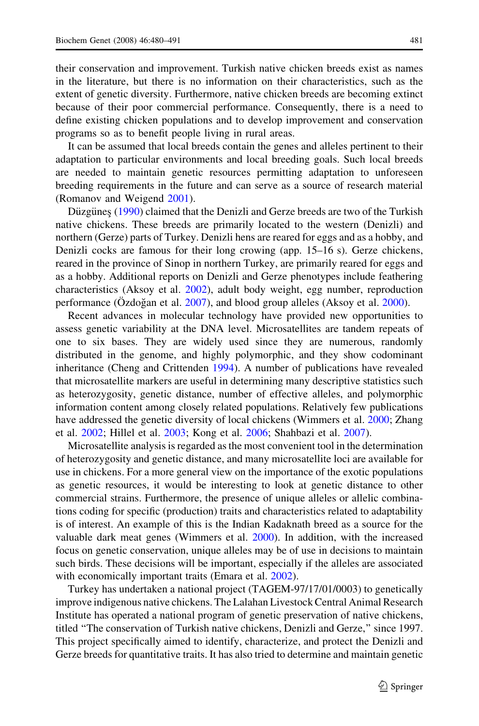their conservation and improvement. Turkish native chicken breeds exist as names in the literature, but there is no information on their characteristics, such as the extent of genetic diversity. Furthermore, native chicken breeds are becoming extinct because of their poor commercial performance. Consequently, there is a need to define existing chicken populations and to develop improvement and conservation programs so as to benefit people living in rural areas.

It can be assumed that local breeds contain the genes and alleles pertinent to their adaptation to particular environments and local breeding goals. Such local breeds are needed to maintain genetic resources permitting adaptation to unforeseen breeding requirements in the future and can serve as a source of research material (Romanov and Weigend [2001\)](#page-11-0).

Düzgünes [\(1990](#page-11-0)) claimed that the Denizli and Gerze breeds are two of the Turkish native chickens. These breeds are primarily located to the western (Denizli) and northern (Gerze) parts of Turkey. Denizli hens are reared for eggs and as a hobby, and Denizli cocks are famous for their long crowing (app. 15–16 s). Gerze chickens, reared in the province of Sinop in northern Turkey, are primarily reared for eggs and as a hobby. Additional reports on Denizli and Gerze phenotypes include feathering characteristics (Aksoy et al. [2002](#page-10-0)), adult body weight, egg number, reproduction performance ( $O$ zdoğan et al. [2007\)](#page-11-0), and blood group alleles (Aksoy et al. [2000\)](#page-10-0).

Recent advances in molecular technology have provided new opportunities to assess genetic variability at the DNA level. Microsatellites are tandem repeats of one to six bases. They are widely used since they are numerous, randomly distributed in the genome, and highly polymorphic, and they show codominant inheritance (Cheng and Crittenden [1994\)](#page-11-0). A number of publications have revealed that microsatellite markers are useful in determining many descriptive statistics such as heterozygosity, genetic distance, number of effective alleles, and polymorphic information content among closely related populations. Relatively few publications have addressed the genetic diversity of local chickens (Wimmers et al. [2000](#page-11-0); Zhang et al. [2002;](#page-11-0) Hillel et al. [2003;](#page-11-0) Kong et al. [2006;](#page-11-0) Shahbazi et al. [2007\)](#page-11-0).

Microsatellite analysis is regarded as the most convenient tool in the determination of heterozygosity and genetic distance, and many microsatellite loci are available for use in chickens. For a more general view on the importance of the exotic populations as genetic resources, it would be interesting to look at genetic distance to other commercial strains. Furthermore, the presence of unique alleles or allelic combinations coding for specific (production) traits and characteristics related to adaptability is of interest. An example of this is the Indian Kadaknath breed as a source for the valuable dark meat genes (Wimmers et al. [2000\)](#page-11-0). In addition, with the increased focus on genetic conservation, unique alleles may be of use in decisions to maintain such birds. These decisions will be important, especially if the alleles are associated with economically important traits (Emara et al. [2002](#page-11-0)).

Turkey has undertaken a national project (TAGEM-97/17/01/0003) to genetically improve indigenous native chickens. The Lalahan Livestock Central Animal Research Institute has operated a national program of genetic preservation of native chickens, titled ''The conservation of Turkish native chickens, Denizli and Gerze,'' since 1997. This project specifically aimed to identify, characterize, and protect the Denizli and Gerze breeds for quantitative traits. It has also tried to determine and maintain genetic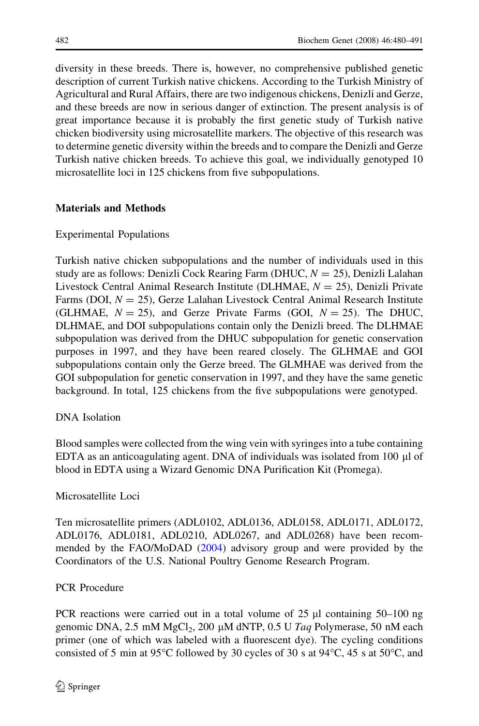diversity in these breeds. There is, however, no comprehensive published genetic description of current Turkish native chickens. According to the Turkish Ministry of Agricultural and Rural Affairs, there are two indigenous chickens, Denizli and Gerze, and these breeds are now in serious danger of extinction. The present analysis is of great importance because it is probably the first genetic study of Turkish native chicken biodiversity using microsatellite markers. The objective of this research was to determine genetic diversity within the breeds and to compare the Denizli and Gerze Turkish native chicken breeds. To achieve this goal, we individually genotyped 10 microsatellite loci in 125 chickens from five subpopulations.

## Materials and Methods

## Experimental Populations

Turkish native chicken subpopulations and the number of individuals used in this study are as follows: Denizli Cock Rearing Farm (DHUC,  $N = 25$ ), Denizli Lalahan Livestock Central Animal Research Institute (DLHMAE,  $N = 25$ ), Denizli Private Farms (DOI,  $N = 25$ ), Gerze Lalahan Livestock Central Animal Research Institute (GLHMAE,  $N = 25$ ), and Gerze Private Farms (GOI,  $N = 25$ ). The DHUC, DLHMAE, and DOI subpopulations contain only the Denizli breed. The DLHMAE subpopulation was derived from the DHUC subpopulation for genetic conservation purposes in 1997, and they have been reared closely. The GLHMAE and GOI subpopulations contain only the Gerze breed. The GLMHAE was derived from the GOI subpopulation for genetic conservation in 1997, and they have the same genetic background. In total, 125 chickens from the five subpopulations were genotyped.

## DNA Isolation

Blood samples were collected from the wing vein with syringes into a tube containing EDTA as an anticoagulating agent. DNA of individuals was isolated from 100 µl of blood in EDTA using a Wizard Genomic DNA Purification Kit (Promega).

# Microsatellite Loci

Ten microsatellite primers (ADL0102, ADL0136, ADL0158, ADL0171, ADL0172, ADL0176, ADL0181, ADL0210, ADL0267, and ADL0268) have been recommended by the FAO/MoDAD [\(2004](#page-11-0)) advisory group and were provided by the Coordinators of the U.S. National Poultry Genome Research Program.

## PCR Procedure

PCR reactions were carried out in a total volume of  $25 \mu l$  containing  $50-100 \text{ ng}$ genomic DNA, 2.5 mM MgCl<sub>2</sub>, 200  $\mu$ M dNTP, 0.5 U Taq Polymerase, 50 nM each primer (one of which was labeled with a fluorescent dye). The cycling conditions consisted of 5 min at 95 $\degree$ C followed by 30 cycles of 30 s at 94 $\degree$ C, 45 s at 50 $\degree$ C, and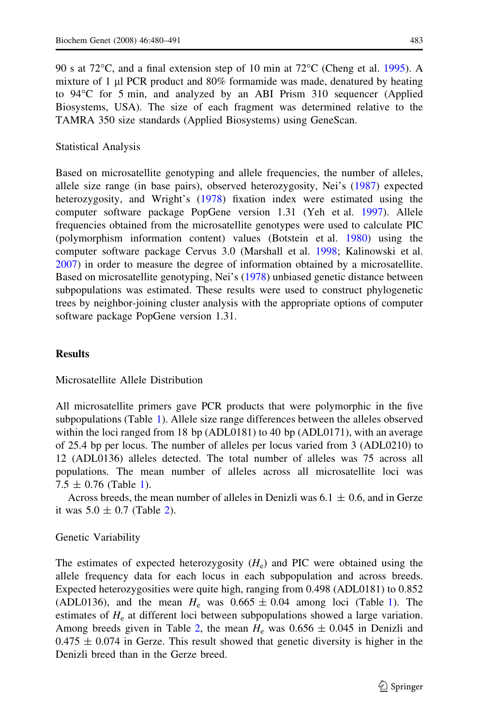90 s at 72 $\degree$ C, and a final extension step of 10 min at 72 $\degree$ C (Cheng et al. [1995\)](#page-11-0). A mixture of 1 µl PCR product and 80% formamide was made, denatured by heating to 94 °C for 5 min, and analyzed by an ABI Prism 310 sequencer (Applied Biosystems, USA). The size of each fragment was determined relative to the TAMRA 350 size standards (Applied Biosystems) using GeneScan.

# Statistical Analysis

Based on microsatellite genotyping and allele frequencies, the number of alleles, allele size range (in base pairs), observed heterozygosity, Nei's [\(1987](#page-11-0)) expected heterozygosity, and Wright's ([1978\)](#page-11-0) fixation index were estimated using the computer software package PopGene version 1.31 (Yeh et al. [1997\)](#page-11-0). Allele frequencies obtained from the microsatellite genotypes were used to calculate PIC (polymorphism information content) values (Botstein et al. [1980](#page-11-0)) using the computer software package Cervus 3.0 (Marshall et al. [1998;](#page-11-0) Kalinowski et al. [2007\)](#page-11-0) in order to measure the degree of information obtained by a microsatellite. Based on microsatellite genotyping, Nei's ([1978\)](#page-11-0) unbiased genetic distance between subpopulations was estimated. These results were used to construct phylogenetic trees by neighbor-joining cluster analysis with the appropriate options of computer software package PopGene version 1.31.

# **Results**

Microsatellite Allele Distribution

All microsatellite primers gave PCR products that were polymorphic in the five subpopulations (Table [1](#page-4-0)). Allele size range differences between the alleles observed within the loci ranged from 18 bp (ADL0181) to 40 bp (ADL0171), with an average of 25.4 bp per locus. The number of alleles per locus varied from 3 (ADL0210) to 12 (ADL0136) alleles detected. The total number of alleles was 75 across all populations. The mean number of alleles across all microsatellite loci was  $7.5 \pm 0.76$  (Table [1](#page-4-0)).

Across breeds, the mean number of alleles in Denizli was  $6.1 \pm 0.6$ , and in Gerze it was  $5.0 \pm 0.7$  (Table [2\)](#page-5-0).

# Genetic Variability

The estimates of expected heterozygosity  $(H_e)$  and PIC were obtained using the allele frequency data for each locus in each subpopulation and across breeds. Expected heterozygosities were quite high, ranging from 0.498 (ADL0181) to 0.852 (ADL0136), and the mean  $H_e$  was  $0.665 \pm 0.04$  among loci (Table [1\)](#page-4-0). The estimates of  $H<sub>e</sub>$  at different loci between subpopulations showed a large variation. Among breeds given in Table [2,](#page-5-0) the mean  $H_e$  was  $0.656 \pm 0.045$  in Denizli and  $0.475 \pm 0.074$  in Gerze. This result showed that genetic diversity is higher in the Denizli breed than in the Gerze breed.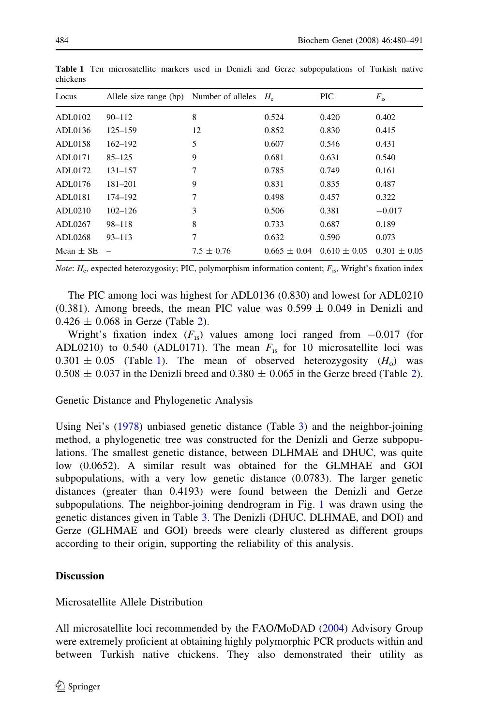| Locus       | Allele size range (bp) Number of alleles $H_e$ |                |                  | PIC              | $F_{1s}$         |
|-------------|------------------------------------------------|----------------|------------------|------------------|------------------|
| ADL0102     | $90 - 112$                                     | 8              | 0.524            | 0.420            | 0.402            |
| ADL0136     | $125 - 159$                                    | 12             | 0.852            | 0.830            | 0.415            |
| ADL0158     | $162 - 192$                                    | 5              | 0.607            | 0.546            | 0.431            |
| ADL0171     | $85 - 125$                                     | 9              | 0.681            | 0.631            | 0.540            |
| ADL0172     | $131 - 157$                                    | 7              | 0.785            | 0.749            | 0.161            |
| ADL0176     | $181 - 201$                                    | 9              | 0.831            | 0.835            | 0.487            |
| ADL0181     | 174-192                                        | 7              | 0.498            | 0.457            | 0.322            |
| ADL0210     | $102 - 126$                                    | 3              | 0.506            | 0.381            | $-0.017$         |
| ADL0267     | $98 - 118$                                     | 8              | 0.733            | 0.687            | 0.189            |
| ADL0268     | $93 - 113$                                     | 7              | 0.632            | 0.590            | 0.073            |
| Mean $+$ SE |                                                | $7.5 \pm 0.76$ | $0.665 \pm 0.04$ | $0.610 \pm 0.05$ | $0.301 \pm 0.05$ |

<span id="page-4-0"></span>Table 1 Ten microsatellite markers used in Denizli and Gerze subpopulations of Turkish native chickens

*Note:*  $H_e$ , expected heterozygosity; PIC, polymorphism information content;  $F_{1s}$ , Wright's fixation index

The PIC among loci was highest for ADL0136 (0.830) and lowest for ADL0210 (0.381). Among breeds, the mean PIC value was  $0.599 \pm 0.049$  in Denizli and  $0.426 \pm 0.068$  $0.426 \pm 0.068$  $0.426 \pm 0.068$  in Gerze (Table 2).

Wright's fixation index  $(F_{1s})$  values among loci ranged from  $-0.017$  (for ADL0210) to 0.540 (ADL0171). The mean  $F_{15}$  for 10 microsatellite loci was  $0.301 \pm 0.05$  (Table 1). The mean of observed heterozygosity ( $H_0$ ) was  $0.508 \pm 0.037$  in the Denizli breed and  $0.380 \pm 0.065$  in the Gerze breed (Table [2\)](#page-5-0).

## Genetic Distance and Phylogenetic Analysis

Using Nei's ([1978\)](#page-11-0) unbiased genetic distance (Table [3\)](#page-8-0) and the neighbor-joining method, a phylogenetic tree was constructed for the Denizli and Gerze subpopulations. The smallest genetic distance, between DLHMAE and DHUC, was quite low (0.0652). A similar result was obtained for the GLMHAE and GOI subpopulations, with a very low genetic distance (0.0783). The larger genetic distances (greater than 0.4193) were found between the Denizli and Gerze subpopulations. The neighbor-joining dendrogram in Fig. [1](#page-8-0) was drawn using the genetic distances given in Table [3](#page-8-0). The Denizli (DHUC, DLHMAE, and DOI) and Gerze (GLHMAE and GOI) breeds were clearly clustered as different groups according to their origin, supporting the reliability of this analysis.

# **Discussion**

Microsatellite Allele Distribution

All microsatellite loci recommended by the FAO/MoDAD [\(2004](#page-11-0)) Advisory Group were extremely proficient at obtaining highly polymorphic PCR products within and between Turkish native chickens. They also demonstrated their utility as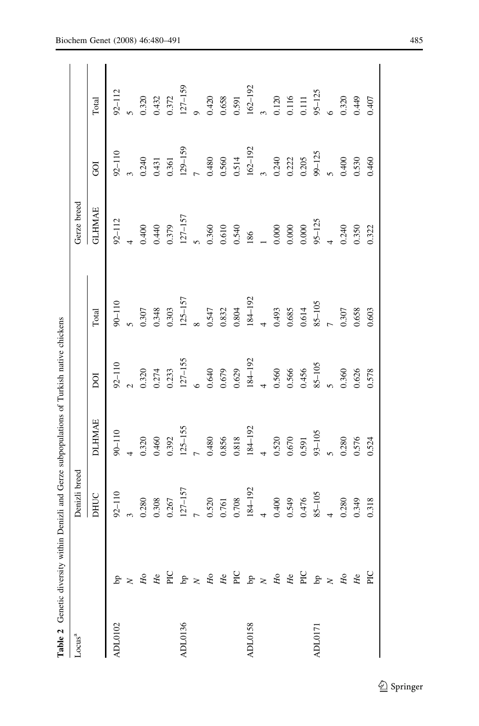| <b>CONTRACTOR</b><br>;<br>;<br>$\frac{1}{2}$<br>$\frac{1}{2}$<br>I<br>$\ddot{\phantom{a}}$<br>֧֖֖֖֚֚֚֚֚֚֚֚֬֝֝<br>֧֪֧֚֚֚֝֝<br>֧ <u>֚</u><br>rational consumers<br>֕<br>$\frac{1}{2}$<br>;<br>; |  |
|-----------------------------------------------------------------------------------------------------------------------------------------------------------------------------------------------|--|
|                                                                                                                                                                                               |  |
|                                                                                                                                                                                               |  |
|                                                                                                                                                                                               |  |
|                                                                                                                                                                                               |  |
|                                                                                                                                                                                               |  |
|                                                                                                                                                                                               |  |
|                                                                                                                                                                                               |  |
|                                                                                                                                                                                               |  |
|                                                                                                                                                                                               |  |
|                                                                                                                                                                                               |  |
|                                                                                                                                                                                               |  |
|                                                                                                                                                                                               |  |
| l<br>Table<br>I                                                                                                                                                                               |  |

<span id="page-5-0"></span>

|                | Table 2 Genetic diversity within Denizli and Gerze subpopulations of Turkish native chickens        |                                                                                                   |                                                                                                                                                                  |                                                                                                                                                                                                                                 |                                                                                                                                                                                                                |                                                                                                 |                                                                                                                                                                                              |                                                                                                                                                                                                                                                                                               |
|----------------|-----------------------------------------------------------------------------------------------------|---------------------------------------------------------------------------------------------------|------------------------------------------------------------------------------------------------------------------------------------------------------------------|---------------------------------------------------------------------------------------------------------------------------------------------------------------------------------------------------------------------------------|----------------------------------------------------------------------------------------------------------------------------------------------------------------------------------------------------------------|-------------------------------------------------------------------------------------------------|----------------------------------------------------------------------------------------------------------------------------------------------------------------------------------------------|-----------------------------------------------------------------------------------------------------------------------------------------------------------------------------------------------------------------------------------------------------------------------------------------------|
| $Locus^a$      |                                                                                                     | Denizli breed                                                                                     |                                                                                                                                                                  |                                                                                                                                                                                                                                 |                                                                                                                                                                                                                | Gerze breed                                                                                     |                                                                                                                                                                                              |                                                                                                                                                                                                                                                                                               |
|                |                                                                                                     | DHUC                                                                                              | <b>DLHMAE</b>                                                                                                                                                    | DOI                                                                                                                                                                                                                             | Total                                                                                                                                                                                                          | <b>GLHMAE</b>                                                                                   | g                                                                                                                                                                                            | Total                                                                                                                                                                                                                                                                                         |
| <b>ADL0102</b> | ЪP                                                                                                  | $92 - 110$                                                                                        | $90 - 110$                                                                                                                                                       | $92 - 110$                                                                                                                                                                                                                      | $90 - 110$                                                                                                                                                                                                     | $92 - 112$                                                                                      | $92 - 110$                                                                                                                                                                                   |                                                                                                                                                                                                                                                                                               |
|                | Z                                                                                                   |                                                                                                   |                                                                                                                                                                  |                                                                                                                                                                                                                                 |                                                                                                                                                                                                                |                                                                                                 |                                                                                                                                                                                              |                                                                                                                                                                                                                                                                                               |
|                | $\rm H_{O}$                                                                                         | $\begin{array}{l} 0.280 \\ 0.308 \\ 0.267 \\ 127-157 \\ 7 \\ 0.520 \\ 0.761 \\ \end{array}$       | $4$ 0.320                                                                                                                                                        | $\begin{array}{c} 2\\0.320\\0.274\\0.233\\0.640\\0.640\\0.669\\0.629\\0.566\\0.566\\0.566\\0.360\\0.360\\0.360\\0.360\\0.360\\0.360\\0.360\\0.360\\0.360\\0.360\\0.360\\0.360\\0.360\\0.360\\0.360\\0.360\\0.360\\0.360\\0.360$ | $\begin{array}{r} 5 \\ 0.307 \\ 0.303 \\ 0.303 \\ 0.541 \\ 0.547 \\ 0.832 \\ 0.804 \\ 0.644 \\ 0.493 \\ 0.614 \\ 0.643 \\ 0.658 \\ 0.658 \\ 0.658 \\ 0.603 \\ 0.663 \\ 0.663 \\ 0.663 \\ 0.663 \\ \end{array}$ | 4 000<br>0.379<br>0.379<br>0.360<br>0.360<br>0.340<br>0.360<br>0.340<br>0.372<br>0.322<br>0.322 | 3<br>$0.240$<br>$0.361$<br>$0.431$<br>$0.480$<br>$0.560$<br>$0.514$<br>$0.514$<br>$0.222$<br>$0.514$<br>$0.240$<br>$0.251$<br>$0.253$<br>$0.460$<br>$0.505$<br>$0.505$<br>$0.500$<br>$0.500$ | 92-112<br>5<br>0.320<br>0.372<br>0.372<br>9.420<br>0.439<br>0.591<br>0.111<br>0.111<br>0.111<br>0.111<br>0.111<br>0.111<br>0.111<br>0.120<br>0.120<br>0.120<br>0.120<br>0.120<br>0.120<br>0.120<br>0.120<br>0.120<br>0.120<br>0.120<br>0.120<br>0.120<br>0.140<br>0.120<br>0.140<br>0.140<br> |
|                | $He$ PIC                                                                                            |                                                                                                   | 0.460                                                                                                                                                            |                                                                                                                                                                                                                                 |                                                                                                                                                                                                                |                                                                                                 |                                                                                                                                                                                              |                                                                                                                                                                                                                                                                                               |
|                |                                                                                                     |                                                                                                   |                                                                                                                                                                  |                                                                                                                                                                                                                                 |                                                                                                                                                                                                                |                                                                                                 |                                                                                                                                                                                              |                                                                                                                                                                                                                                                                                               |
| ADL0136        | $\mathbf{b}^{\mathrm{p}}$                                                                           |                                                                                                   | $\begin{array}{c} 0.392 \\ 125 - 155 \\ 7 \\ 0.480 \\ 0.856 \end{array}$                                                                                         |                                                                                                                                                                                                                                 |                                                                                                                                                                                                                |                                                                                                 |                                                                                                                                                                                              |                                                                                                                                                                                                                                                                                               |
|                |                                                                                                     |                                                                                                   |                                                                                                                                                                  |                                                                                                                                                                                                                                 |                                                                                                                                                                                                                |                                                                                                 |                                                                                                                                                                                              |                                                                                                                                                                                                                                                                                               |
|                |                                                                                                     |                                                                                                   |                                                                                                                                                                  |                                                                                                                                                                                                                                 |                                                                                                                                                                                                                |                                                                                                 |                                                                                                                                                                                              |                                                                                                                                                                                                                                                                                               |
|                |                                                                                                     |                                                                                                   |                                                                                                                                                                  |                                                                                                                                                                                                                                 |                                                                                                                                                                                                                |                                                                                                 |                                                                                                                                                                                              |                                                                                                                                                                                                                                                                                               |
|                |                                                                                                     |                                                                                                   |                                                                                                                                                                  |                                                                                                                                                                                                                                 |                                                                                                                                                                                                                |                                                                                                 |                                                                                                                                                                                              |                                                                                                                                                                                                                                                                                               |
| <b>ADL0158</b> | $\begin{array}{c} \mathbf{H} \in \mathbb{R} \\ \mathbf{H} \in \mathbb{R} \\ \mathbf{H} \end{array}$ |                                                                                                   |                                                                                                                                                                  |                                                                                                                                                                                                                                 |                                                                                                                                                                                                                |                                                                                                 |                                                                                                                                                                                              |                                                                                                                                                                                                                                                                                               |
|                |                                                                                                     |                                                                                                   |                                                                                                                                                                  |                                                                                                                                                                                                                                 |                                                                                                                                                                                                                |                                                                                                 |                                                                                                                                                                                              |                                                                                                                                                                                                                                                                                               |
|                | $\rm H\rm o$                                                                                        |                                                                                                   |                                                                                                                                                                  |                                                                                                                                                                                                                                 |                                                                                                                                                                                                                |                                                                                                 |                                                                                                                                                                                              |                                                                                                                                                                                                                                                                                               |
|                |                                                                                                     |                                                                                                   |                                                                                                                                                                  |                                                                                                                                                                                                                                 |                                                                                                                                                                                                                |                                                                                                 |                                                                                                                                                                                              |                                                                                                                                                                                                                                                                                               |
|                | $He$<br>PIC                                                                                         |                                                                                                   |                                                                                                                                                                  |                                                                                                                                                                                                                                 |                                                                                                                                                                                                                |                                                                                                 |                                                                                                                                                                                              |                                                                                                                                                                                                                                                                                               |
| ADL0171        | $\mathbf{d}$                                                                                        | 0.708<br>$184-192$<br>$4$<br>0.400<br>0.549<br>0.5476<br>$6$<br>$35-105$<br>$4$<br>0.280<br>0.349 | $\begin{array}{r} 0.818 \\ 184-192 \\ 4 \\ 0.520 \\ 0.670 \\ 0.591 \\ 0.591 \\ 0.591 \\ 0.576 \\ 0.576 \\ 0.534 \\ 0.534 \\ 0.534 \\ 0.534 \\ 0.534 \end{array}$ |                                                                                                                                                                                                                                 |                                                                                                                                                                                                                |                                                                                                 |                                                                                                                                                                                              |                                                                                                                                                                                                                                                                                               |
|                | $\overline{\phantom{a}}$                                                                            |                                                                                                   |                                                                                                                                                                  |                                                                                                                                                                                                                                 |                                                                                                                                                                                                                |                                                                                                 |                                                                                                                                                                                              |                                                                                                                                                                                                                                                                                               |
|                | $\rm Ho$                                                                                            |                                                                                                   |                                                                                                                                                                  |                                                                                                                                                                                                                                 |                                                                                                                                                                                                                |                                                                                                 |                                                                                                                                                                                              |                                                                                                                                                                                                                                                                                               |
|                | He                                                                                                  |                                                                                                   |                                                                                                                                                                  | $0.626$<br>$0.578$                                                                                                                                                                                                              |                                                                                                                                                                                                                |                                                                                                 |                                                                                                                                                                                              |                                                                                                                                                                                                                                                                                               |
|                | EC                                                                                                  | 0.318                                                                                             |                                                                                                                                                                  |                                                                                                                                                                                                                                 |                                                                                                                                                                                                                |                                                                                                 |                                                                                                                                                                                              |                                                                                                                                                                                                                                                                                               |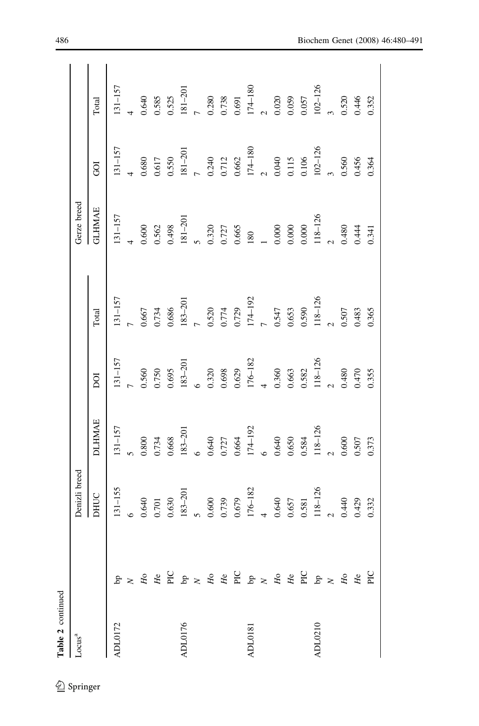| -ocus <sup>a</sup> |                                                                                                                                                                                                                                                                          | Denizli breed                                                                                                                               |                                                                                                                                                                                                                                                                                                     |                                                                                                                                                                                                                                                                                                     |                                                                                                                                                                                                                                                                                                       | Gerze breed                                                                                                                                                                                                                                                                |                                                                                                                                                                                                                                                                        |                                                                                            |
|--------------------|--------------------------------------------------------------------------------------------------------------------------------------------------------------------------------------------------------------------------------------------------------------------------|---------------------------------------------------------------------------------------------------------------------------------------------|-----------------------------------------------------------------------------------------------------------------------------------------------------------------------------------------------------------------------------------------------------------------------------------------------------|-----------------------------------------------------------------------------------------------------------------------------------------------------------------------------------------------------------------------------------------------------------------------------------------------------|-------------------------------------------------------------------------------------------------------------------------------------------------------------------------------------------------------------------------------------------------------------------------------------------------------|----------------------------------------------------------------------------------------------------------------------------------------------------------------------------------------------------------------------------------------------------------------------------|------------------------------------------------------------------------------------------------------------------------------------------------------------------------------------------------------------------------------------------------------------------------|--------------------------------------------------------------------------------------------|
|                    |                                                                                                                                                                                                                                                                          | DHUC                                                                                                                                        | <b>DLHMAE</b>                                                                                                                                                                                                                                                                                       | $\overline{5}$                                                                                                                                                                                                                                                                                      | Total                                                                                                                                                                                                                                                                                                 | <b>GLHMAE</b>                                                                                                                                                                                                                                                              | <b>GO</b>                                                                                                                                                                                                                                                              | $\rm Total$                                                                                |
| DL0172             |                                                                                                                                                                                                                                                                          | $131 - 155$                                                                                                                                 | $131 - 157$                                                                                                                                                                                                                                                                                         | $131 - 157$                                                                                                                                                                                                                                                                                         | $131 - 157$                                                                                                                                                                                                                                                                                           | $131 - 157$                                                                                                                                                                                                                                                                | $131 - 157$                                                                                                                                                                                                                                                            | $131 - 157$                                                                                |
|                    |                                                                                                                                                                                                                                                                          |                                                                                                                                             |                                                                                                                                                                                                                                                                                                     |                                                                                                                                                                                                                                                                                                     |                                                                                                                                                                                                                                                                                                       | $\frac{1}{4}$                                                                                                                                                                                                                                                              |                                                                                                                                                                                                                                                                        |                                                                                            |
|                    |                                                                                                                                                                                                                                                                          |                                                                                                                                             |                                                                                                                                                                                                                                                                                                     |                                                                                                                                                                                                                                                                                                     |                                                                                                                                                                                                                                                                                                       |                                                                                                                                                                                                                                                                            |                                                                                                                                                                                                                                                                        |                                                                                            |
|                    |                                                                                                                                                                                                                                                                          |                                                                                                                                             |                                                                                                                                                                                                                                                                                                     |                                                                                                                                                                                                                                                                                                     |                                                                                                                                                                                                                                                                                                       |                                                                                                                                                                                                                                                                            |                                                                                                                                                                                                                                                                        |                                                                                            |
|                    |                                                                                                                                                                                                                                                                          | $6\n0.640\n0.701\n0.50$                                                                                                                     |                                                                                                                                                                                                                                                                                                     |                                                                                                                                                                                                                                                                                                     |                                                                                                                                                                                                                                                                                                       |                                                                                                                                                                                                                                                                            |                                                                                                                                                                                                                                                                        |                                                                                            |
| DL0176             | $\mathbb{B}\times \mathbb{E}\,\, \mathbb{E}\,\, \mathbb{E}\,\, \mathbb{E}\times \mathbb{E}\,\, \mathbb{E}\,\, \mathbb{E}\times \mathbb{E}\,\, \mathbb{E}\,\, \mathbb{E}\,\, \mathbb{E}\times \mathbb{E}\,\, \mathbb{E}\,\, \mathbb{E}\,\, \mathbb{E}\,\, \mathbb{E}\,\,$ |                                                                                                                                             | $\begin{array}{r} 5 \\ 0.800 \\ 0.734 \\ 0.668 \\ 0.640 \\ 0.640 \\ 0.640 \\ 0.640 \\ 0.640 \\ 0.650 \\ 0.727 \\ 1.92 \\ 0.650 \\ 0.334 \\ 1.8-126 \\ 0.600 \\ 0.307 \\ 0.303 \\ 0.303 \\ 0.303 \\ 0.303 \\ 0.303 \\ 0.303 \\ 0.303 \\ 0.303 \\ 0.303 \\ 0.303 \\ 0.303 \\ 0.303 \\ 0.303 \\ 0.303$ | $\begin{array}{r} 7 \\ 0.560 \\ 0.750 \\ 0.895 \\ 0.320 \\ 0.698 \\ 0.698 \\ 0.629 \\ 0.629 \\ 0.629 \\ 0.76-182 \\ 0.360 \\ 0.638 \\ 118-126 \\ 0.480 \\ 0.649 \\ 0.649 \\ 0.640 \\ 0.647 \\ 0.647 \\ 0.647 \\ 0.647 \\ 0.647 \\ 0.647 \\ 0.647 \\ 0.647 \\ 0.647 \\ 0.647 \\ 0.647 \\ 0.647 \\ 0$ | $\begin{array}{r} 7 \\ 0.667 \\ 0.34 \\ 0.88 \\ 0.520 \\ 0.774 \\ 0.729 \\ 0.714 \\ 0.729 \\ 0.653 \\ 0.653 \\ 0.83 \\ 0.83 \\ 0.365 \\ 0.365 \\ 0.365 \\ 0.365 \\ 0.365 \\ 0.365 \\ 0.365 \\ 0.365 \\ 0.365 \\ 0.365 \\ 0.365 \\ 0.365 \\ 0.365 \\ 0.365 \\ 0.365 \\ 0.365 \\ 0.365 \\ 0.365 \\ 0.3$ | $\begin{array}{r} 0.600\\0.562\\0.498\\0.320\\0.320\\0.665\\0.000\\0.000\\0.000\\0.000\\0.000\\0.000\\0.000\\0.000\\0.444\\0.430\\0.444\\0.480\\0.444\\0.480\\0.444\\0.480\\0.444\\0.480\\0.444\\0.480\\0.444\\0.480\\0.444\\0.480\\0.444\\0.480\\0.444\\0.480\\0.444\\0.$ | $\begin{array}{r} 4\\ 0.680\\ 0.550\\ 0.550\\ 0.712\\ 0.712\\ 0.662\\ 0.712\\ 0.662\\ 0.14\\ 0.115\\ 0.065\\ 0.105\\ 0.105\\ 0.106\\ 0.106\\ 0.102\\ 0.245\\ 0.660\\ 0.656\\ 0.656\\ 0.656\\ 0.656\\ 0.656\\ 0.656\\ 0.656\\ 0.656\\ 0.656\\ 0.656\\ 0.656\\ 0.656\\ $ | 4<br>0.640<br>0.525<br>0.380<br>0.380<br>0.691<br>0.738<br>0.657<br>0.446<br>0.057<br>0.30 |
|                    |                                                                                                                                                                                                                                                                          |                                                                                                                                             |                                                                                                                                                                                                                                                                                                     |                                                                                                                                                                                                                                                                                                     |                                                                                                                                                                                                                                                                                                       |                                                                                                                                                                                                                                                                            |                                                                                                                                                                                                                                                                        |                                                                                            |
|                    |                                                                                                                                                                                                                                                                          | $\begin{array}{r} 183-201\\ 5\\ 0.600\\ 0.739\\ 0.679\\ 176-182\\ 14\\ 0.640\\ 0.657\\ 0.531\\ 0.581\\ 0.581\\ 0.581\\ 0.581\\ \end{array}$ |                                                                                                                                                                                                                                                                                                     |                                                                                                                                                                                                                                                                                                     |                                                                                                                                                                                                                                                                                                       |                                                                                                                                                                                                                                                                            |                                                                                                                                                                                                                                                                        |                                                                                            |
|                    |                                                                                                                                                                                                                                                                          |                                                                                                                                             |                                                                                                                                                                                                                                                                                                     |                                                                                                                                                                                                                                                                                                     |                                                                                                                                                                                                                                                                                                       |                                                                                                                                                                                                                                                                            |                                                                                                                                                                                                                                                                        |                                                                                            |
|                    |                                                                                                                                                                                                                                                                          |                                                                                                                                             |                                                                                                                                                                                                                                                                                                     |                                                                                                                                                                                                                                                                                                     |                                                                                                                                                                                                                                                                                                       |                                                                                                                                                                                                                                                                            |                                                                                                                                                                                                                                                                        |                                                                                            |
| DL0181             |                                                                                                                                                                                                                                                                          |                                                                                                                                             |                                                                                                                                                                                                                                                                                                     |                                                                                                                                                                                                                                                                                                     |                                                                                                                                                                                                                                                                                                       |                                                                                                                                                                                                                                                                            |                                                                                                                                                                                                                                                                        |                                                                                            |
|                    |                                                                                                                                                                                                                                                                          |                                                                                                                                             |                                                                                                                                                                                                                                                                                                     |                                                                                                                                                                                                                                                                                                     |                                                                                                                                                                                                                                                                                                       |                                                                                                                                                                                                                                                                            |                                                                                                                                                                                                                                                                        |                                                                                            |
|                    |                                                                                                                                                                                                                                                                          |                                                                                                                                             |                                                                                                                                                                                                                                                                                                     |                                                                                                                                                                                                                                                                                                     |                                                                                                                                                                                                                                                                                                       |                                                                                                                                                                                                                                                                            |                                                                                                                                                                                                                                                                        |                                                                                            |
|                    |                                                                                                                                                                                                                                                                          |                                                                                                                                             |                                                                                                                                                                                                                                                                                                     |                                                                                                                                                                                                                                                                                                     |                                                                                                                                                                                                                                                                                                       |                                                                                                                                                                                                                                                                            |                                                                                                                                                                                                                                                                        |                                                                                            |
|                    |                                                                                                                                                                                                                                                                          |                                                                                                                                             |                                                                                                                                                                                                                                                                                                     |                                                                                                                                                                                                                                                                                                     |                                                                                                                                                                                                                                                                                                       |                                                                                                                                                                                                                                                                            |                                                                                                                                                                                                                                                                        |                                                                                            |
| ADL0210            |                                                                                                                                                                                                                                                                          | $118-126$<br>$2$<br>$0.440$<br>$0.429$                                                                                                      |                                                                                                                                                                                                                                                                                                     |                                                                                                                                                                                                                                                                                                     |                                                                                                                                                                                                                                                                                                       |                                                                                                                                                                                                                                                                            |                                                                                                                                                                                                                                                                        |                                                                                            |
|                    |                                                                                                                                                                                                                                                                          |                                                                                                                                             |                                                                                                                                                                                                                                                                                                     |                                                                                                                                                                                                                                                                                                     |                                                                                                                                                                                                                                                                                                       |                                                                                                                                                                                                                                                                            |                                                                                                                                                                                                                                                                        |                                                                                            |
|                    |                                                                                                                                                                                                                                                                          |                                                                                                                                             |                                                                                                                                                                                                                                                                                                     |                                                                                                                                                                                                                                                                                                     |                                                                                                                                                                                                                                                                                                       |                                                                                                                                                                                                                                                                            |                                                                                                                                                                                                                                                                        |                                                                                            |
|                    |                                                                                                                                                                                                                                                                          |                                                                                                                                             |                                                                                                                                                                                                                                                                                                     |                                                                                                                                                                                                                                                                                                     |                                                                                                                                                                                                                                                                                                       |                                                                                                                                                                                                                                                                            |                                                                                                                                                                                                                                                                        |                                                                                            |
|                    |                                                                                                                                                                                                                                                                          | 0.332                                                                                                                                       |                                                                                                                                                                                                                                                                                                     | 0.355                                                                                                                                                                                                                                                                                               |                                                                                                                                                                                                                                                                                                       | 0.341                                                                                                                                                                                                                                                                      | 0.364                                                                                                                                                                                                                                                                  | 0.352                                                                                      |

Table 2 continued

Table 2 continued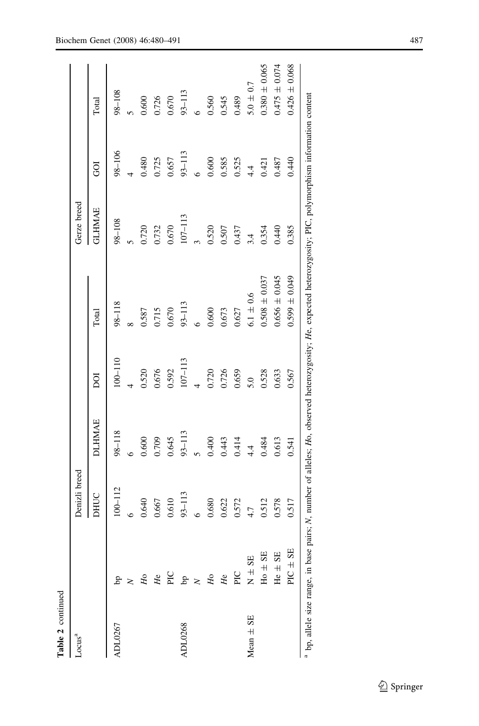| € |  |
|---|--|
|   |  |

| $Locus^a$                                   |               | Denizli breed |               |             |                                                                                                                              | Gerze breed   |            |                   |
|---------------------------------------------|---------------|---------------|---------------|-------------|------------------------------------------------------------------------------------------------------------------------------|---------------|------------|-------------------|
|                                             |               | DHUC          | <b>DLHMAE</b> | DOI         | Total                                                                                                                        | <b>GLHMAE</b> | <b>GOI</b> | Total             |
| ADL0267                                     | Ъp            | $100 - 112$   | 98-118        | $100 - 110$ | 98-118                                                                                                                       | 98-108        | $98 - 106$ | 98-108            |
|                                             | $\geq$        |               |               |             |                                                                                                                              |               |            |                   |
|                                             | $H_{\rm O}$   | 0.640         | 0.600         | 0.520       | 0.587                                                                                                                        | 0.720         | 0.480      | $0.600\,$         |
|                                             | He            | 0.667         | 0.709         | 0.676       | 0.715                                                                                                                        | 0.732         | 0.725      | 0.726             |
|                                             | $_{\rm{PC}}$  | 0.610         | 0.645         | 0.592       | 0.670                                                                                                                        | 0.670         | 0.657      | $0.670$           |
| <b>ADL0268</b>                              | $\mathbf{d}$  | $93 - 113$    | $93 - 113$    | $107 - 113$ | $93 - 113$                                                                                                                   | $107 - 113$   | $93 - 113$ | $93 - 113$        |
|                                             | $\geq$        |               |               |             |                                                                                                                              |               | $\circ$    |                   |
|                                             | $\rm H\rm o$  | 0.680         | 0.400         | 0.720       | 0.600                                                                                                                        | 0.520         | 0.600      | 0.560             |
|                                             | He            | 0.622         | 0.443         | 0.726       | 0.673                                                                                                                        | 0.507         | 0.585      | 0.545             |
|                                             | PIC           | 0.572         | 0.414         | 0.659       | 0.627                                                                                                                        | 0.437         | 0.525      | 0.489             |
| Mean $\pm$ SE                               | $N \pm SE$    | 4.7           | 4.4           | 5.0         | $6.1 \pm 0.6$                                                                                                                | 3.4           | 4.4        | $5.0 \pm 0.7$     |
|                                             | $Ho$ $\pm$ SE | 0.512         | 0.484         | 0.528       | $0.508 \pm 0.037$                                                                                                            | 0.354         | 0.421      | $0.380 \pm 0.065$ |
|                                             | He $\pm$ SE   | 0.578         | 0.613         | 0.633       | $0.656 \pm 0.045$                                                                                                            | 0.440         | 0.487      | $0.475 \pm 0.074$ |
|                                             | $PIC \pm SE$  | 0.517         | 0.541         | 0.567       | $0.599 \pm 0.049$                                                                                                            | 0.385         | 0.440      | $0.426 \pm 0.068$ |
| <sup>a</sup> bp, allele size range, in base |               |               |               |             | pairs; N, number of alleles; Ho, observed heterozygosity; He, expected heterozygosity; PIC, polymorphism information content |               |            |                   |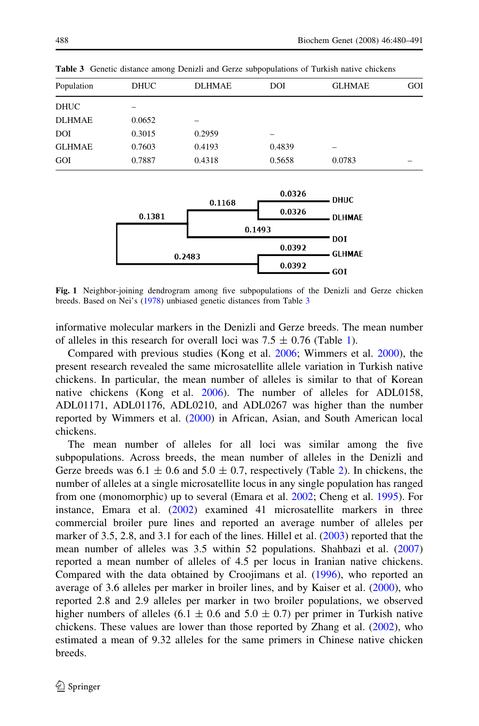| Population    | <b>DHUC</b> | <b>DLHMAE</b> | <b>DOI</b> | <b>GLHMAE</b> | GOI |
|---------------|-------------|---------------|------------|---------------|-----|
| DHUC          |             |               |            |               |     |
| <b>DLHMAE</b> | 0.0652      |               |            |               |     |
| <b>DOI</b>    | 0.3015      | 0.2959        |            |               |     |
| <b>GLHMAE</b> | 0.7603      | 0.4193        | 0.4839     | -             |     |
| GOI           | 0.7887      | 0.4318        | 0.5658     | 0.0783        |     |

<span id="page-8-0"></span>Table 3 Genetic distance among Denizli and Gerze subpopulations of Turkish native chickens



Fig. 1 Neighbor-joining dendrogram among five subpopulations of the Denizli and Gerze chicken breeds. Based on Nei's ([1978\)](#page-11-0) unbiased genetic distances from Table 3

informative molecular markers in the Denizli and Gerze breeds. The mean number of alleles in this research for overall loci was  $7.5 \pm 0.76$  (Table [1\)](#page-4-0).

Compared with previous studies (Kong et al. [2006;](#page-11-0) Wimmers et al. [2000](#page-11-0)), the present research revealed the same microsatellite allele variation in Turkish native chickens. In particular, the mean number of alleles is similar to that of Korean native chickens (Kong et al. [2006\)](#page-11-0). The number of alleles for ADL0158, ADL01171, ADL01176, ADL0210, and ADL0267 was higher than the number reported by Wimmers et al. ([2000\)](#page-11-0) in African, Asian, and South American local chickens.

The mean number of alleles for all loci was similar among the five subpopulations. Across breeds, the mean number of alleles in the Denizli and Gerze breeds was  $6.1 \pm 0.6$  and  $5.0 \pm 0.7$ , respectively (Table [2\)](#page-5-0). In chickens, the number of alleles at a single microsatellite locus in any single population has ranged from one (monomorphic) up to several (Emara et al. [2002;](#page-11-0) Cheng et al. [1995\)](#page-11-0). For instance, Emara et al. ([2002\)](#page-11-0) examined 41 microsatellite markers in three commercial broiler pure lines and reported an average number of alleles per marker of 3.5, 2.8, and 3.1 for each of the lines. Hillel et al.  $(2003)$  $(2003)$  reported that the mean number of alleles was 3.5 within 52 populations. Shahbazi et al. [\(2007](#page-11-0)) reported a mean number of alleles of 4.5 per locus in Iranian native chickens. Compared with the data obtained by Croojimans et al. [\(1996](#page-11-0)), who reported an average of 3.6 alleles per marker in broiler lines, and by Kaiser et al. [\(2000](#page-11-0)), who reported 2.8 and 2.9 alleles per marker in two broiler populations, we observed higher numbers of alleles (6.1  $\pm$  0.6 and 5.0  $\pm$  0.7) per primer in Turkish native chickens. These values are lower than those reported by Zhang et al. ([2002\)](#page-11-0), who estimated a mean of 9.32 alleles for the same primers in Chinese native chicken breeds.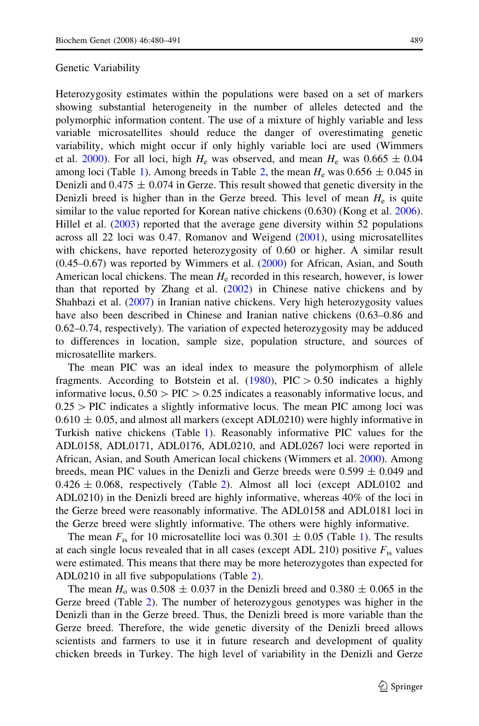# Genetic Variability

Heterozygosity estimates within the populations were based on a set of markers showing substantial heterogeneity in the number of alleles detected and the polymorphic information content. The use of a mixture of highly variable and less variable microsatellites should reduce the danger of overestimating genetic variability, which might occur if only highly variable loci are used (Wimmers et al. [2000](#page-11-0)). For all loci, high  $H_e$  was observed, and mean  $H_e$  was 0.665  $\pm$  0.04 among loci (Table [1\)](#page-4-0). Among breeds in Table [2,](#page-5-0) the mean  $H_e$  was  $0.656 \pm 0.045$  in Denizli and  $0.475 \pm 0.074$  in Gerze. This result showed that genetic diversity in the Denizli breed is higher than in the Gerze breed. This level of mean  $H<sub>e</sub>$  is quite similar to the value reported for Korean native chickens (0.630) (Kong et al. [2006\)](#page-11-0). Hillel et al. ([2003\)](#page-11-0) reported that the average gene diversity within 52 populations across all 22 loci was 0.47. Romanov and Weigend ([2001\)](#page-11-0), using microsatellites with chickens, have reported heterozygosity of 0.60 or higher. A similar result (0.45–0.67) was reported by Wimmers et al. ([2000\)](#page-11-0) for African, Asian, and South American local chickens. The mean  $H<sub>e</sub>$  recorded in this research, however, is lower than that reported by Zhang et al. [\(2002](#page-11-0)) in Chinese native chickens and by Shahbazi et al. [\(2007\)](#page-11-0) in Iranian native chickens. Very high heterozygosity values have also been described in Chinese and Iranian native chickens (0.63–0.86 and 0.62–0.74, respectively). The variation of expected heterozygosity may be adduced to differences in location, sample size, population structure, and sources of microsatellite markers.

The mean PIC was an ideal index to measure the polymorphism of allele fragments. According to Botstein et al.  $(1980)$  $(1980)$ , PIC  $> 0.50$  indicates a highly informative locus,  $0.50 > \text{PIC} > 0.25$  indicates a reasonably informative locus, and  $0.25$  > PIC indicates a slightly informative locus. The mean PIC among loci was  $0.610 \pm 0.05$ , and almost all markers (except ADL0210) were highly informative in Turkish native chickens (Table [1](#page-4-0)). Reasonably informative PIC values for the ADL0158, ADL0171, ADL0176, ADL0210, and ADL0267 loci were reported in African, Asian, and South American local chickens (Wimmers et al. [2000\)](#page-11-0). Among breeds, mean PIC values in the Denizli and Gerze breeds were  $0.599 \pm 0.049$  and  $0.426 \pm 0.068$ , respectively (Table [2\)](#page-5-0). Almost all loci (except ADL0102 and ADL0210) in the Denizli breed are highly informative, whereas 40% of the loci in the Gerze breed were reasonably informative. The ADL0158 and ADL0181 loci in the Gerze breed were slightly informative. The others were highly informative.

The mean  $F_{1s}$  for 10 microsatellite loci was 0.301  $\pm$  0.05 (Table [1\)](#page-4-0). The results at each single locus revealed that in all cases (except ADL 210) positive  $F_{1s}$  values were estimated. This means that there may be more heterozygotes than expected for ADL0210 in all five subpopulations (Table [2\)](#page-5-0).

The mean  $H_0$  was 0.508  $\pm$  0.037 in the Denizli breed and 0.380  $\pm$  0.065 in the Gerze breed (Table [2](#page-5-0)). The number of heterozygous genotypes was higher in the Denizli than in the Gerze breed. Thus, the Denizli breed is more variable than the Gerze breed. Therefore, the wide genetic diversity of the Denizli breed allows scientists and farmers to use it in future research and development of quality chicken breeds in Turkey. The high level of variability in the Denizli and Gerze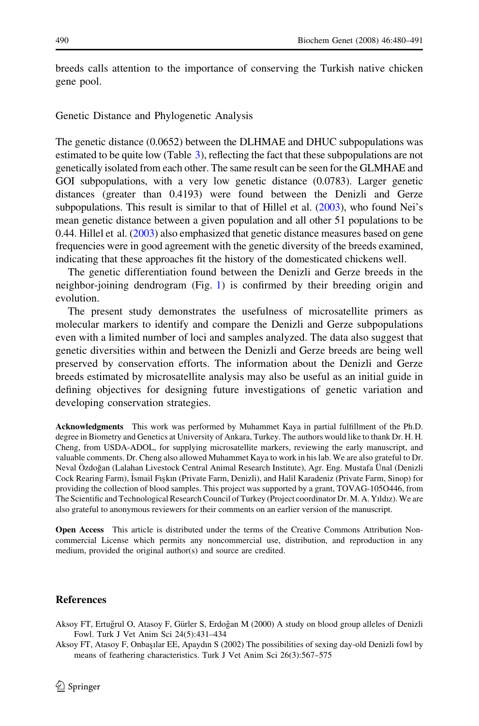<span id="page-10-0"></span>breeds calls attention to the importance of conserving the Turkish native chicken gene pool.

#### Genetic Distance and Phylogenetic Analysis

The genetic distance (0.0652) between the DLHMAE and DHUC subpopulations was estimated to be quite low (Table [3\)](#page-8-0), reflecting the fact that these subpopulations are not genetically isolated from each other. The same result can be seen for the GLMHAE and GOI subpopulations, with a very low genetic distance (0.0783). Larger genetic distances (greater than 0.4193) were found between the Denizli and Gerze subpopulations. This result is similar to that of Hillel et al. ([2003](#page-11-0)), who found Nei's mean genetic distance between a given population and all other 51 populations to be 0.44. Hillel et al. [\(2003\)](#page-11-0) also emphasized that genetic distance measures based on gene frequencies were in good agreement with the genetic diversity of the breeds examined, indicating that these approaches fit the history of the domesticated chickens well.

The genetic differentiation found between the Denizli and Gerze breeds in the neighbor-joining dendrogram (Fig. [1](#page-8-0)) is confirmed by their breeding origin and evolution.

The present study demonstrates the usefulness of microsatellite primers as molecular markers to identify and compare the Denizli and Gerze subpopulations even with a limited number of loci and samples analyzed. The data also suggest that genetic diversities within and between the Denizli and Gerze breeds are being well preserved by conservation efforts. The information about the Denizli and Gerze breeds estimated by microsatellite analysis may also be useful as an initial guide in defining objectives for designing future investigations of genetic variation and developing conservation strategies.

Acknowledgments This work was performed by Muhammet Kaya in partial fulfillment of the Ph.D. degree in Biometry and Genetics at University of Ankara, Turkey. The authors would like to thank Dr. H. H. Cheng, from USDA-ADOL, for supplying microsatellite markers, reviewing the early manuscript, and valuable comments. Dr. Cheng also allowed Muhammet Kaya to work in his lab. We are also grateful to Dr. Neval Özdoğan (Lalahan Livestock Central Animal Research Institute), Agr. Eng. Mustafa Ünal (Denizli Cock Rearing Farm), İsmail Fışkın (Private Farm, Denizli), and Halil Karadeniz (Private Farm, Sinop) for providing the collection of blood samples. This project was supported by a grant, TOVAG-105O446, from The Scientific and Technological Research Council of Turkey (Project coordinator Dr. M. A. Yıldız). We are also grateful to anonymous reviewers for their comments on an earlier version of the manuscript.

Open Access This article is distributed under the terms of the Creative Commons Attribution Noncommercial License which permits any noncommercial use, distribution, and reproduction in any medium, provided the original author(s) and source are credited.

#### References

Aksoy FT, Ertuğrul O, Atasoy F, Gürler S, Erdoğan M (2000) A study on blood group alleles of Denizli Fowl. Turk J Vet Anim Sci 24(5):431–434

Aksoy FT, Atasoy F, Onbasılar EE, Apaydın S (2002) The possibilities of sexing day-old Denizli fowl by means of feathering characteristics. Turk J Vet Anim Sci 26(3):567–575